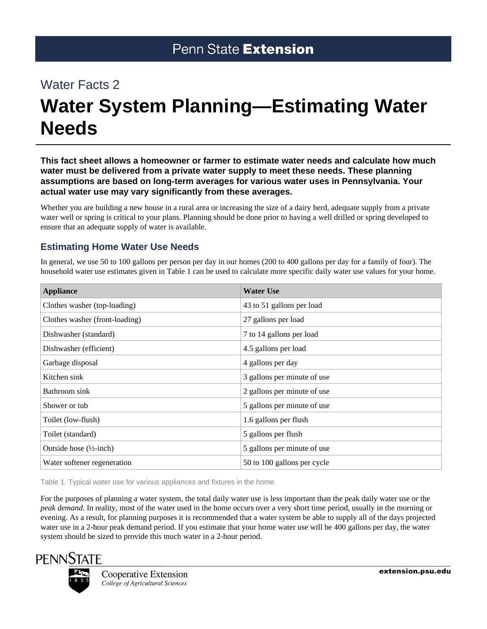# Water Facts 2

# **Water System Planning—Estimating Water Needs**

**This fact sheet allows a homeowner or farmer to estimate water needs and calculate how much water must be delivered from a private water supply to meet these needs. These planning assumptions are based on long-term averages for various water uses in Pennsylvania. Your actual water use may vary significantly from these averages.**

Whether you are building a new house in a rural area or increasing the size of a dairy herd, adequate supply from a private water well or spring is critical to your plans. Planning should be done prior to having a well drilled or spring developed to ensure that an adequate supply of water is available.

### **Estimating Home Water Use Needs**

In general, we use 50 to 100 gallons per person per day in our homes (200 to 400 gallons per day for a family of four). The household water use estimates given in Table 1 can be used to calculate more specific daily water use values for your home.

| <b>Appliance</b>                   | <b>Water Use</b>            |
|------------------------------------|-----------------------------|
| Clothes washer (top-loading)       | 43 to 51 gallons per load   |
| Clothes washer (front-loading)     | 27 gallons per load         |
| Dishwasher (standard)              | 7 to 14 gallons per load    |
| Dishwasher (efficient)             | 4.5 gallons per load        |
| Garbage disposal                   | 4 gallons per day           |
| Kitchen sink                       | 3 gallons per minute of use |
| Bathroom sink                      | 2 gallons per minute of use |
| Shower or tub                      | 5 gallons per minute of use |
| Toilet (low-flush)                 | 1.6 gallons per flush       |
| Toilet (standard)                  | 5 gallons per flush         |
| Outside hose $(\frac{1}{2}$ -inch) | 5 gallons per minute of use |
| Water softener regeneration        | 50 to 100 gallons per cycle |

Table 1. Typical water use for various appliances and fixtures in the home.

For the purposes of planning a water system, the total daily water use is less important than the peak daily water use or the *peak demand*. In reality, most of the water used in the home occurs over a very short time period, usually in the morning or evening. As a result, for planning purposes it is recommended that a water system be able to supply all of the days projected water use in a 2-hour peak demand period. If you estimate that your home water use will be 400 gallons per day, the water system should be sized to provide this much water in a 2-hour period.



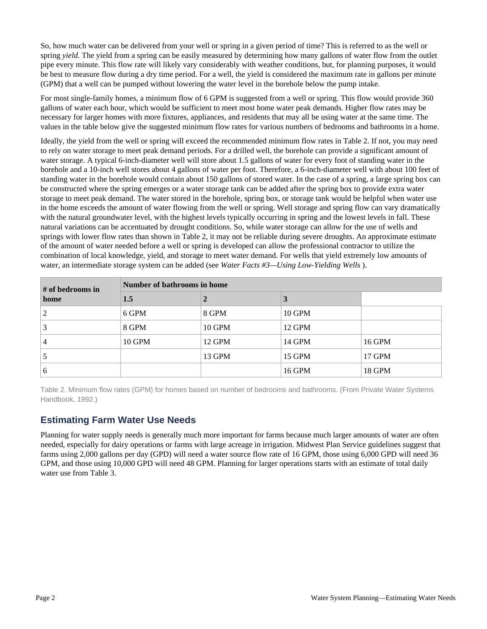So, how much water can be delivered from your well or spring in a given period of time? This is referred to as the well or spring *yield*. The yield from a spring can be easily measured by determining how many gallons of water flow from the outlet pipe every minute. This flow rate will likely vary considerably with weather conditions, but, for planning purposes, it would be best to measure flow during a dry time period. For a well, the yield is considered the maximum rate in gallons per minute (GPM) that a well can be pumped without lowering the water level in the borehole below the pump intake.

For most single-family homes, a minimum flow of 6 GPM is suggested from a well or spring. This flow would provide 360 gallons of water each hour, which would be sufficient to meet most home water peak demands. Higher flow rates may be necessary for larger homes with more fixtures, appliances, and residents that may all be using water at the same time. The values in the table below give the suggested minimum flow rates for various numbers of bedrooms and bathrooms in a home.

Ideally, the yield from the well or spring will exceed the recommended minimum flow rates in Table 2. If not, you may need to rely on water storage to meet peak demand periods. For a drilled well, the borehole can provide a significant amount of water storage. A typical 6-inch-diameter well will store about 1.5 gallons of water for every foot of standing water in the borehole and a 10-inch well stores about 4 gallons of water per foot. Therefore, a 6-inch-diameter well with about 100 feet of standing water in the borehole would contain about 150 gallons of stored water. In the case of a spring, a large spring box can be constructed where the spring emerges or a water storage tank can be added after the spring box to provide extra water storage to meet peak demand. The water stored in the borehole, spring box, or storage tank would be helpful when water use in the home exceeds the amount of water flowing from the well or spring. Well storage and spring flow can vary dramatically with the natural groundwater level, with the highest levels typically occurring in spring and the lowest levels in fall. These natural variations can be accentuated by drought conditions. So, while water storage can allow for the use of wells and springs with lower flow rates than shown in Table 2, it may not be reliable during severe droughts. An approximate estimate of the amount of water needed before a well or spring is developed can allow the professional contractor to utilize the combination of local knowledge, yield, and storage to meet water demand. For wells that yield extremely low amounts of water, an intermediate storage system can be added (see *Water Facts #3—Using Low-Yielding Wells* ).

| # of bedrooms in | Number of bathrooms in home |        |               |               |
|------------------|-----------------------------|--------|---------------|---------------|
| home             | 1.5                         |        | 3             |               |
| 2                | 6 GPM                       | 8 GPM  | <b>10 GPM</b> |               |
| 3                | 8 GPM                       | 10 GPM | 12 GPM        |               |
| 4                | <b>10 GPM</b>               | 12 GPM | 14 GPM        | 16 GPM        |
|                  |                             | 13 GPM | 15 GPM        | 17 GPM        |
| 6                |                             |        | <b>16 GPM</b> | <b>18 GPM</b> |

Table 2. Minimum flow rates (GPM) for homes based on number of bedrooms and bathrooms. (From Private Water Systems Handbook, 1992.)

## **Estimating Farm Water Use Needs**

Planning for water supply needs is generally much more important for farms because much larger amounts of water are often needed, especially for dairy operations or farms with large acreage in irrigation. Midwest Plan Service guidelines suggest that farms using 2,000 gallons per day (GPD) will need a water source flow rate of 16 GPM, those using 6,000 GPD will need 36 GPM, and those using 10,000 GPD will need 48 GPM. Planning for larger operations starts with an estimate of total daily water use from Table 3.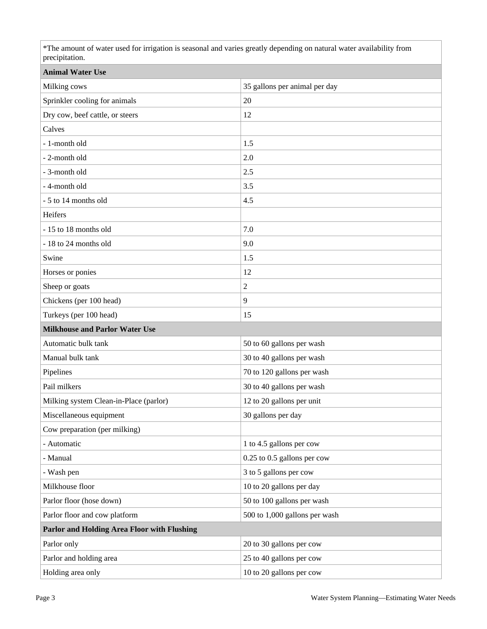\*The amount of water used for irrigation is seasonal and varies greatly depending on natural water availability from precipitation.

| <b>Animal Water Use</b>                     |                               |  |  |  |
|---------------------------------------------|-------------------------------|--|--|--|
| Milking cows                                | 35 gallons per animal per day |  |  |  |
| Sprinkler cooling for animals               | 20                            |  |  |  |
| Dry cow, beef cattle, or steers             | 12                            |  |  |  |
| Calves                                      |                               |  |  |  |
| - 1-month old                               | 1.5                           |  |  |  |
| - 2-month old                               | 2.0                           |  |  |  |
| - 3-month old                               | 2.5                           |  |  |  |
| - 4-month old                               | 3.5                           |  |  |  |
| - 5 to 14 months old                        | 4.5                           |  |  |  |
| Heifers                                     |                               |  |  |  |
| - 15 to 18 months old                       | 7.0                           |  |  |  |
| - 18 to 24 months old                       | 9.0                           |  |  |  |
| Swine                                       | 1.5                           |  |  |  |
| Horses or ponies                            | 12                            |  |  |  |
| Sheep or goats                              | 2                             |  |  |  |
| Chickens (per 100 head)                     | 9                             |  |  |  |
| Turkeys (per 100 head)                      | 15                            |  |  |  |
| <b>Milkhouse and Parlor Water Use</b>       |                               |  |  |  |
| Automatic bulk tank                         | 50 to 60 gallons per wash     |  |  |  |
| Manual bulk tank                            | 30 to 40 gallons per wash     |  |  |  |
| Pipelines                                   | 70 to 120 gallons per wash    |  |  |  |
| Pail milkers                                | 30 to 40 gallons per wash     |  |  |  |
| Milking system Clean-in-Place (parlor)      | 12 to 20 gallons per unit     |  |  |  |
| Miscellaneous equipment                     | 30 gallons per day            |  |  |  |
| Cow preparation (per milking)               |                               |  |  |  |
| - Automatic                                 | 1 to 4.5 gallons per cow      |  |  |  |
| - Manual                                    | 0.25 to 0.5 gallons per cow   |  |  |  |
| - Wash pen                                  | 3 to 5 gallons per cow        |  |  |  |
| Milkhouse floor                             | 10 to 20 gallons per day      |  |  |  |
| Parlor floor (hose down)                    | 50 to 100 gallons per wash    |  |  |  |
| Parlor floor and cow platform               | 500 to 1,000 gallons per wash |  |  |  |
| Parlor and Holding Area Floor with Flushing |                               |  |  |  |
| Parlor only                                 | 20 to 30 gallons per cow      |  |  |  |
|                                             |                               |  |  |  |
| Parlor and holding area                     | 25 to 40 gallons per cow      |  |  |  |